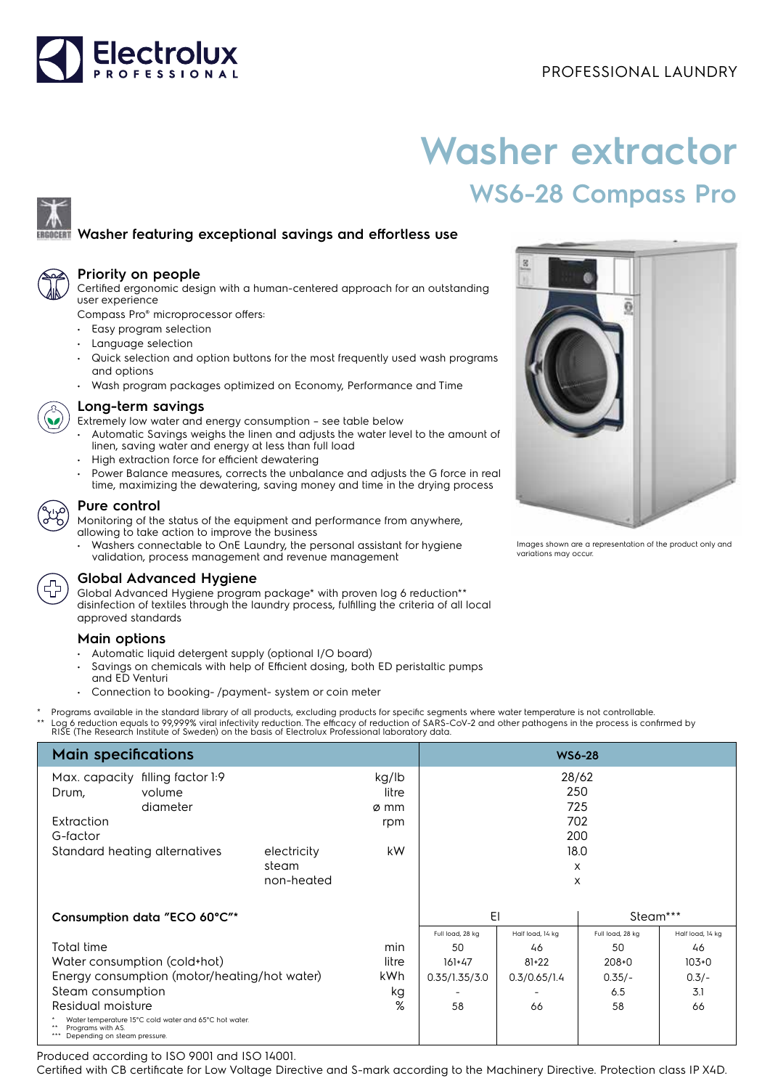

# **Washer extractor WS6-28 Compass Pro**

## **Washer featuring exceptional savings and effortless use**



#### **Priority on people**

Certified ergonomic design with a human-centered approach for an outstanding user experience

Compass Pro® microprocessor offers:

- Easy program selection
- Language selection
- Quick selection and option buttons for the most frequently used wash programs and options
- Wash program packages optimized on Economy, Performance and Time



#### **Long-term savings**

- Extremely low water and energy consumption see table below
- Automatic Savings weighs the linen and adjusts the water level to the amount of linen, saving water and energy at less than full load
- High extraction force for efficient dewatering
- Power Balance measures, corrects the unbalance and adjusts the G force in real time, maximizing the dewatering, saving money and time in the drying process

#### **Pure control**

Monitoring of the status of the equipment and performance from anywhere, allowing to take action to improve the business

• Washers connectable to OnE Laundry, the personal assistant for hygiene validation, process management and revenue management



### **Global Advanced Hygiene**

Global Advanced Hygiene program package\* with proven log 6 reduction\*\* disinfection of textiles through the laundry process, fulfilling the criteria of all local approved standards

#### **Main options**

- Automatic liquid detergent supply (optional I/O board)
- Savings on chemicals with help of Efficient dosing, both ED peristaltic pumps and ED Venturi
- Connection to booking- /payment- system or coin meter
- Programs available in the standard library of all products, excluding products for specific segments where water temperature is not controllable.
- \*\* Log 6 reduction equals to 99,999% viral infectivity reduction. The efficacy of reduction of SARS-CoV-2 and other pathogens in the process is confirmed by<br>RISE (The Research Institute of Sweden) on the basis of Electrolu

| <b>Main specifications</b>                                                                                 |          |            |       | <b>WS6-28</b>    |                  |                  |                  |
|------------------------------------------------------------------------------------------------------------|----------|------------|-------|------------------|------------------|------------------|------------------|
| filling factor 1:9<br>Max. capacity                                                                        |          |            | kg/lb | 28/62            |                  |                  |                  |
| Drum,                                                                                                      | volume   |            | litre |                  |                  | 250              |                  |
|                                                                                                            | diameter |            | ø mm  |                  | 725              |                  |                  |
| Extraction                                                                                                 |          |            | rpm   |                  |                  | 702              |                  |
| G-factor                                                                                                   |          |            |       | 200              |                  |                  |                  |
| Standard heating alternatives<br>electricity                                                               |          |            | kW.   | 18.0             |                  |                  |                  |
|                                                                                                            |          | steam      |       |                  |                  | X                |                  |
|                                                                                                            |          | non-heated |       |                  |                  | X                |                  |
|                                                                                                            |          |            |       |                  |                  |                  |                  |
| Consumption data "ECO 60°C"*                                                                               |          |            | EI    |                  | Steam***         |                  |                  |
|                                                                                                            |          |            |       | Full load, 28 kg | Half load, 14 kg | Full load, 28 kg | Half load, 14 kg |
| Total time                                                                                                 |          |            | min   | 50               | 46               | 50               | 46               |
| Water consumption (cold+hot)                                                                               |          |            | litre | $161+47$         | $81 + 22$        | $208 + 0$        | $103+0$          |
| Energy consumption (motor/heating/hot water)                                                               |          |            | kWh.  | 0.35/1.35/3.0    | 0.3/0.65/1.4     | $0.35/-$         | $0.3/-$          |
| Steam consumption                                                                                          |          |            | kg    |                  |                  | 6.5              | 3.1              |
| Residual moisture                                                                                          |          |            | %     | 58               | 66               | 58               | 66               |
| Water temperature 15°C cold water and 65°C hot water.<br>Programs with AS.<br>Depending on steam pressure. |          |            |       |                  |                  |                  |                  |

Produced according to ISO 9001 and ISO 14001.

Certified with CB certificate for Low Voltage Directive and S-mark according to the Machinery Directive. Protection class IP X4D.



Images shown are a representation of the product only and variations may occur.